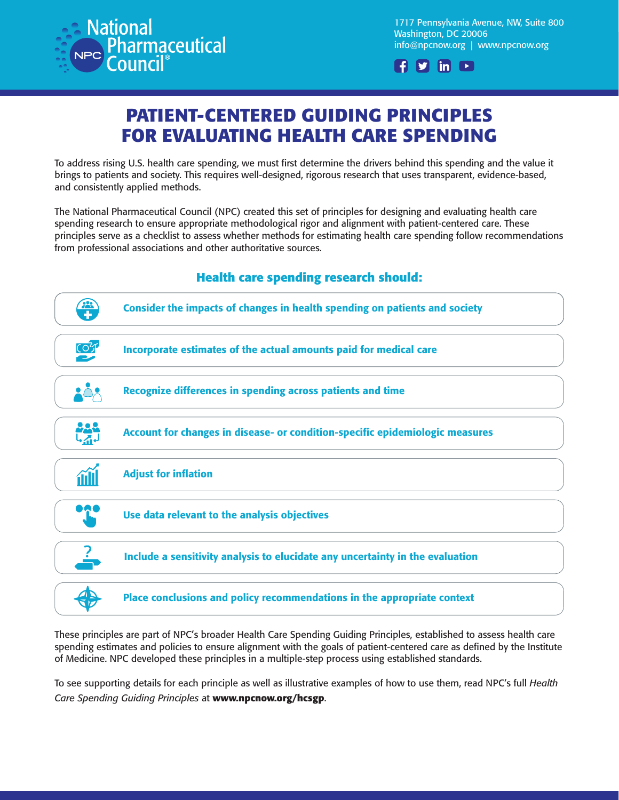

1717 Pennsylvania Avenue, NW, Suite 800 Washington, DC 20006 [info@npcnow.org](https://www.youtube.com/user/npcnow) | www.npcnow.org



## **PATIENT-CENTERED GUIDING PRINCIPLES FOR EVALUATING HEALTH CARE SPENDING**

To address rising U.S. health care spending, we must first determine the drivers behind this spending and the value it brings to patients and society. This requires well-designed, rigorous research that uses transparent, evidence-based, and consistently applied methods.

The National Pharmaceutical Council (NPC) created this set of principles for designing and evaluating health care spending research to ensure appropriate methodological rigor and alignment with patient-centered care. These principles serve as a checklist to assess whether methods for estimating health care spending follow recommendations from professional associations and other authoritative sources.



**Health care spending research should:** 

These principles are part of NPC's broader Health Care Spending Guiding Principles, established to assess health care spending estimates and policies to ensure alignment with the goals of patient-centered care as defined by the Institute of Medicine. NPC developed these principles in a multiple-step process using established standards.

To see supporting details for each principle as well as illustrative examples of how to use them, read NPC's full *Health Care Spending Guiding Principles* at **www.npcnow.org/hcsgp**.